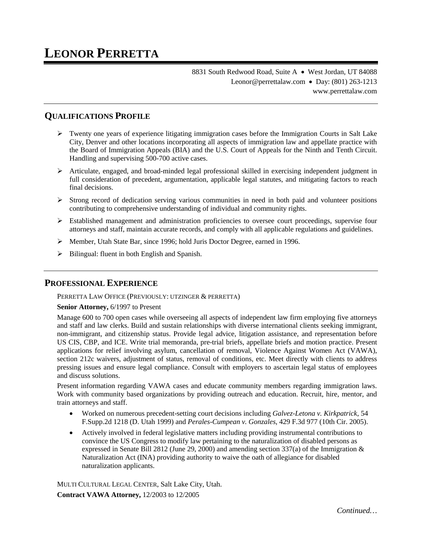8831 South Redwood Road, Suite A · West Jordan, UT 84088 Leonor@perrettalaw.com • Day: (801) 263-1213 www.perrettalaw.com

# **QUALIFICATIONS PROFILE**

- $\triangleright$  Twenty one years of experience litigating immigration cases before the Immigration Courts in Salt Lake City, Denver and other locations incorporating all aspects of immigration law and appellate practice with the Board of Immigration Appeals (BIA) and the U.S. Court of Appeals for the Ninth and Tenth Circuit. Handling and supervising 500-700 active cases.
- $\triangleright$  Articulate, engaged, and broad-minded legal professional skilled in exercising independent judgment in full consideration of precedent, argumentation, applicable legal statutes, and mitigating factors to reach final decisions.
- $\triangleright$  Strong record of dedication serving various communities in need in both paid and volunteer positions contributing to comprehensive understanding of individual and community rights.
- $\triangleright$  Established management and administration proficiencies to oversee court proceedings, supervise four attorneys and staff, maintain accurate records, and comply with all applicable regulations and guidelines.
- Member, Utah State Bar, since 1996; hold Juris Doctor Degree, earned in 1996.
- $\triangleright$  Bilingual: fluent in both English and Spanish.

### **PROFESSIONAL EXPERIENCE**

PERRETTA LAW OFFICE (PREVIOUSLY: UTZINGER & PERRETTA)

#### **Senior Attorney,** 6/1997 to Present

Manage 600 to 700 open cases while overseeing all aspects of independent law firm employing five attorneys and staff and law clerks. Build and sustain relationships with diverse international clients seeking immigrant, non-immigrant, and citizenship status. Provide legal advice, litigation assistance, and representation before US CIS, CBP, and ICE. Write trial memoranda, pre-trial briefs, appellate briefs and motion practice. Present applications for relief involving asylum, cancellation of removal, Violence Against Women Act (VAWA), section 212c waivers, adjustment of status, removal of conditions, etc. Meet directly with clients to address pressing issues and ensure legal compliance. Consult with employers to ascertain legal status of employees and discuss solutions.

Present information regarding VAWA cases and educate community members regarding immigration laws. Work with community based organizations by providing outreach and education. Recruit, hire, mentor, and train attorneys and staff.

- Worked on numerous precedent-setting court decisions including *Galvez-Letona v. Kirkpatrick*, 54 F.Supp.2d 1218 (D. Utah 1999) and *Perales-Cumpean v. Gonzales*, 429 F.3d 977 (10th Cir. 2005).
- Actively involved in federal legislative matters including providing instrumental contributions to convince the US Congress to modify law pertaining to the naturalization of disabled persons as expressed in Senate Bill 2812 (June 29, 2000) and amending section 337(a) of the Immigration & Naturalization Act (INA) providing authority to waive the oath of allegiance for disabled naturalization applicants.

MULTI CULTURAL LEGAL CENTER, Salt Lake City, Utah. **Contract VAWA Attorney,** 12/2003 to 12/2005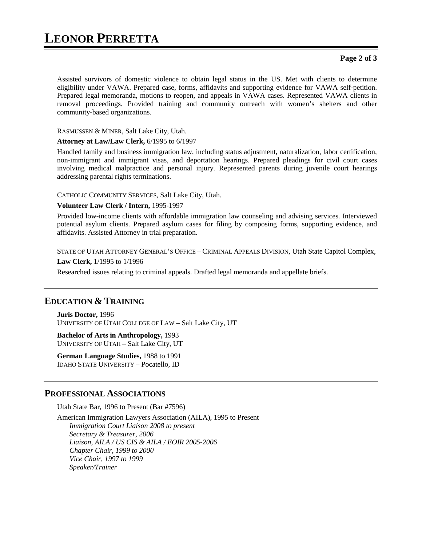#### **Page 2 of 3**

Assisted survivors of domestic violence to obtain legal status in the US. Met with clients to determine eligibility under VAWA. Prepared case, forms, affidavits and supporting evidence for VAWA self-petition. Prepared legal memoranda, motions to reopen, and appeals in VAWA cases. Represented VAWA clients in removal proceedings. Provided training and community outreach with women's shelters and other community-based organizations.

RASMUSSEN & MINER, Salt Lake City, Utah.

#### **Attorney at Law/Law Clerk,** 6/1995 to 6/1997

Handled family and business immigration law, including status adjustment, naturalization, labor certification, non-immigrant and immigrant visas, and deportation hearings. Prepared pleadings for civil court cases involving medical malpractice and personal injury. Represented parents during juvenile court hearings addressing parental rights terminations.

CATHOLIC COMMUNITY SERVICES, Salt Lake City, Utah.

#### **Volunteer Law Clerk / Intern,** 1995-1997

Provided low-income clients with affordable immigration law counseling and advising services. Interviewed potential asylum clients. Prepared asylum cases for filing by composing forms, supporting evidence, and affidavits. Assisted Attorney in trial preparation.

STATE OF UTAH ATTORNEY GENERAL'S OFFICE – CRIMINAL APPEALS DIVISION, Utah State Capitol Complex,

**Law Clerk,** 1/1995 to 1/1996

Researched issues relating to criminal appeals. Drafted legal memoranda and appellate briefs.

### **EDUCATION & TRAINING**

**Juris Doctor,** 1996 UNIVERSITY OF UTAH COLLEGE OF LAW – Salt Lake City, UT

**Bachelor of Arts in Anthropology,** 1993 UNIVERSITY OF UTAH – Salt Lake City, UT

**German Language Studies,** 1988 to 1991 IDAHO STATE UNIVERSITY – Pocatello, ID

#### **PROFESSIONAL ASSOCIATIONS**

Utah State Bar, 1996 to Present (Bar #7596)

American Immigration Lawyers Association (AILA), 1995 to Present *Immigration Court Liaison 2008 to present Secretary & Treasurer, 2006 Liaison, AILA / US CIS & AILA / EOIR 2005-2006 Chapter Chair, 1999 to 2000 Vice Chair, 1997 to 1999 Speaker/Trainer*